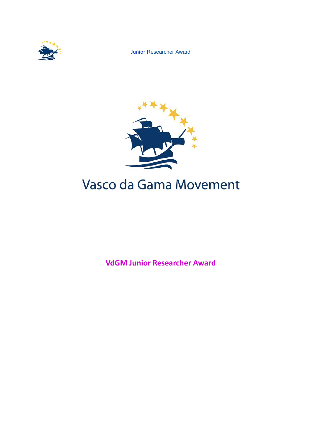

Junior Researcher Award



# Vasco da Gama Movement

**VdGM Junior Researcher Award**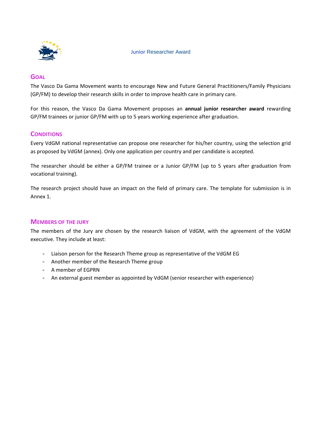

# **GOAL**

The Vasco Da Gama Movement wants to encourage New and Future General Practitioners/Family Physicians (GP/FM) to develop their research skills in order to improve health care in primary care.

For this reason, the Vasco Da Gama Movement proposes an **annual junior researcher award** rewarding GP/FM trainees or junior GP/FM with up to 5 years working experience after graduation.

# **CONDITIONS**

Every VdGM national representative can propose one researcher for his/her country, using the selection grid as proposed by VdGM (annex). Only one application per country and per candidate is accepted.

The researcher should be either a GP/FM trainee or a Junior GP/FM (up to 5 years after graduation from vocational training).

The research project should have an impact on the field of primary care. The template for submission is in Annex 1.

## **MEMBERS OF THE JURY**

The members of the Jury are chosen by the research liaison of VdGM, with the agreement of the VdGM executive. They include at least:

- Liaison person for the Research Theme group as representative of the VdGM EG
- Another member of the Research Theme group
- A member of EGPRN
- An external guest member as appointed by VdGM (senior researcher with experience)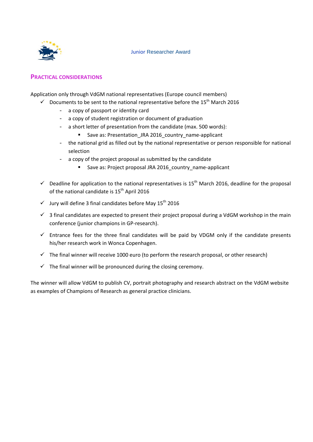

# **PRACTICAL CONSIDERATIONS**

Application only through VdGM national representatives (Europe council members)

- $\checkmark$  Documents to be sent to the national representative before the 15<sup>th</sup> March 2016
	- a copy of passport or identity card
	- a copy of student registration or document of graduation
	- a short letter of presentation from the candidate (max. 500 words):
		- Save as: Presentation\_JRA 2016\_country\_name-applicant
	- the national grid as filled out by the national representative or person responsible for national selection
	- a copy of the project proposal as submitted by the candidate
		- Save as: Project proposal JRA 2016\_country\_name-applicant
- $\checkmark$  Deadline for application to the national representatives is 15<sup>th</sup> March 2016, deadline for the proposal of the national candidate is 15<sup>th</sup> April 2016
- $\checkmark$  Jury will define 3 final candidates before May 15<sup>th</sup> 2016
- $\checkmark$  3 final candidates are expected to present their project proposal during a VdGM workshop in the main conference (junior champions in GP‐research).
- $\checkmark$  Entrance fees for the three final candidates will be paid by VDGM only if the candidate presents his/her research work in Wonca Copenhagen.
- $\checkmark$  The final winner will receive 1000 euro (to perform the research proposal, or other research)
- $\checkmark$  The final winner will be pronounced during the closing ceremony.

The winner will allow VdGM to publish CV, portrait photography and research abstract on the VdGM website as examples of Champions of Research as general practice clinicians.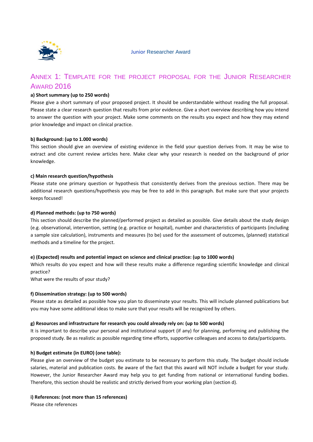

# ANNEX 1: TEMPLATE FOR THE PROJECT PROPOSAL FOR THE JUNIOR RESEARCHER **AWARD 2016**

#### **a) Short summary (up to 250 words)**

Please give a short summary of your proposed project. It should be understandable without reading the full proposal. Please state a clear research question that results from prior evidence. Give a short overview describing how you intend to answer the question with your project. Make some comments on the results you expect and how they may extend prior knowledge and impact on clinical practice.

#### **b) Background: (up to 1.000 words)**

This section should give an overview of existing evidence in the field your question derives from. It may be wise to extract and cite current review articles here. Make clear why your research is needed on the background of prior knowledge.

#### **c) Main research question/hypothesis**

Please state one primary question or hypothesis that consistently derives from the previous section. There may be additional research questions/hypothesis you may be free to add in this paragraph. But make sure that your projects keeps focused!

#### **d) Planned methods: (up to 750 words)**

This section should describe the planned/performed project as detailed as possible. Give details about the study design (e.g. observational, intervention, setting (e.g. practice or hospital), number and characteristics of participants (including a sample size calculation), instruments and measures (to be) used for the assessment of outcomes, (planned) statistical methods and a timeline for the project.

#### **e) (Expected) results and potential impact on science and clinical practice: (up to 1000 words)**

Which results do you expect and how will these results make a difference regarding scientific knowledge and clinical practice?

What were the results of your study?

#### **f) Dissemination strategy: (up to 500 words)**

Please state as detailed as possible how you plan to disseminate your results. This will include planned publications but you may have some additional ideas to make sure that your results will be recognized by others.

#### **g) Resources and infrastructure for research you could already rely on: (up to 500 words)**

It is important to describe your personal and institutional support (if any) for planning, performing and publishing the proposed study. Be as realistic as possible regarding time efforts, supportive colleagues and access to data/participants.

#### **h) Budget estimate (in EURO) (one table):**

Please give an overview of the budget you estimate to be necessary to perform this study. The budget should include salaries, material and publication costs. Be aware of the fact that this award will NOT include a budget for your study. However, the Junior Researcher Award may help you to get funding from national or international funding bodies. Therefore, this section should be realistic and strictly derived from your working plan (section d).

# **i) References: (not more than 15 references)**

Please cite references